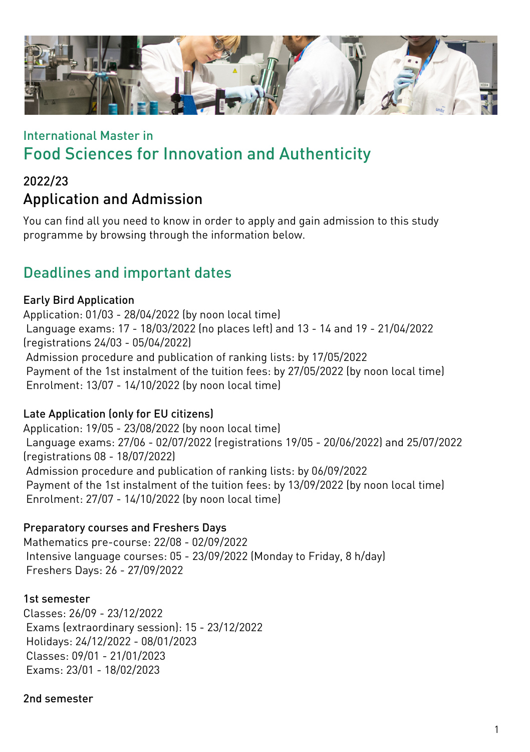

# International Master in Food Sciences for Innovation and Authenticity

### 2022/23 Application and Admission

You can find all you need to know in order to apply and gain admission to this study programme by browsing through the information below.

## Deadlines and important dates

### Early Bird Application

Application: 01/03 - 28/04/2022 (by noon local time) Language exams: 17 - 18/03/2022 (no places left) and 13 - 14 and 19 - 21/04/2022 (registrations 24/03 - 05/04/2022) Admission procedure and publication of ranking lists: by 17/05/2022 Payment of the 1st instalment of the tuition fees: by 27/05/2022 (by noon local time) Enrolment: 13/07 - 14/10/2022 (by noon local time)

### Late Application (only for EU citizens)

Application: 19/05 - 23/08/2022 (by noon local time) Language exams: 27/06 - 02/07/2022 (registrations 19/05 - 20/06/2022) and 25/07/2022 (registrations 08 - 18/07/2022) Admission procedure and publication of ranking lists: by 06/09/2022 Payment of the 1st instalment of the tuition fees: by 13/09/2022 (by noon local time) Enrolment: 27/07 - 14/10/2022 (by noon local time)

### Preparatory courses and Freshers Days

Mathematics pre-course: 22/08 - 02/09/2022 Intensive language courses: 05 - 23/09/2022 (Monday to Friday, 8 h/day) Freshers Days: 26 - 27/09/2022

#### 1st semester

Classes: 26/09 - 23/12/2022 Exams (extraordinary session): 15 - 23/12/2022 Holidays: 24/12/2022 - 08/01/2023 Classes: 09/01 - 21/01/2023 Exams: 23/01 - 18/02/2023

#### 2nd semester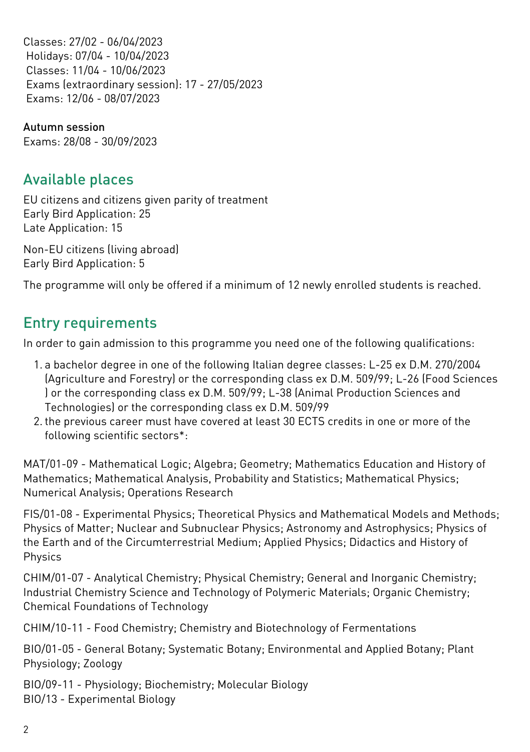Classes: 27/02 - 06/04/2023 Holidays: 07/04 - 10/04/2023 Classes: 11/04 - 10/06/2023 Exams (extraordinary session): 17 - 27/05/2023 Exams: 12/06 - 08/07/2023

Autumn session Exams: 28/08 - 30/09/2023

### Available places

EU citizens and citizens given parity of treatment Early Bird Application: 25 Late Application: 15

Non-EU citizens (living abroad) Early Bird Application: 5

The programme will only be offered if a minimum of 12 newly enrolled students is reached.

## Entry requirements

In order to gain admission to this programme you need one of the following qualifications:

- 1. a bachelor degree in one of the following Italian degree classes: L-25 ex D.M. 270/2004 (Agriculture and Forestry) or the corresponding class ex D.M. 509/99; L-26 (Food Sciences ) or the corresponding class ex D.M. 509/99; L-38 (Animal Production Sciences and Technologies) or the corresponding class ex D.M. 509/99
- 2. the previous career must have covered at least 30 ECTS credits in one or more of the following scientific sectors\*:

MAT/01-09 - Mathematical Logic; Algebra; Geometry; Mathematics Education and History of Mathematics; Mathematical Analysis, Probability and Statistics; Mathematical Physics; Numerical Analysis; Operations Research

FIS/01-08 - Experimental Physics; Theoretical Physics and Mathematical Models and Methods; Physics of Matter; Nuclear and Subnuclear Physics; Astronomy and Astrophysics; Physics of the Earth and of the Circumterrestrial Medium; Applied Physics; Didactics and History of Physics

CHIM/01-07 - Analytical Chemistry; Physical Chemistry; General and Inorganic Chemistry; Industrial Chemistry Science and Technology of Polymeric Materials; Organic Chemistry; Chemical Foundations of Technology

CHIM/10-11 - Food Chemistry; Chemistry and Biotechnology of Fermentations

BIO/01-05 - General Botany; Systematic Botany; Environmental and Applied Botany; Plant Physiology; Zoology

BIO/09-11 - Physiology; Biochemistry; Molecular Biology BIO/13 - Experimental Biology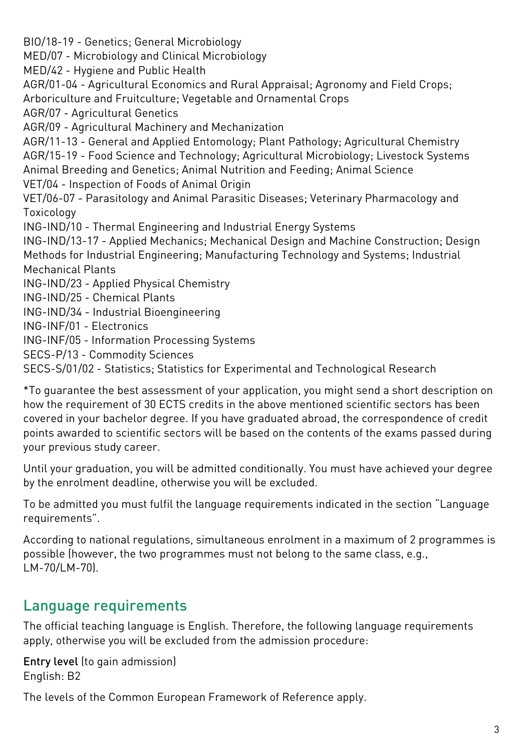BIO/18-19 - Genetics; General Microbiology MED/07 - Microbiology and Clinical Microbiology MED/42 - Hygiene and Public Health AGR/01-04 - Agricultural Economics and Rural Appraisal; Agronomy and Field Crops; Arboriculture and Fruitculture; Vegetable and Ornamental Crops AGR/07 - Agricultural Genetics AGR/09 - Agricultural Machinery and Mechanization AGR/11-13 - General and Applied Entomology; Plant Pathology; Agricultural Chemistry AGR/15-19 - Food Science and Technology; Agricultural Microbiology; Livestock Systems Animal Breeding and Genetics; Animal Nutrition and Feeding; Animal Science VET/04 - Inspection of Foods of Animal Origin VET/06-07 - Parasitology and Animal Parasitic Diseases; Veterinary Pharmacology and Toxicology ING-IND/10 - Thermal Engineering and Industrial Energy Systems ING-IND/13-17 - Applied Mechanics; Mechanical Design and Machine Construction; Design Methods for Industrial Engineering; Manufacturing Technology and Systems; Industrial Mechanical Plants ING-IND/23 - Applied Physical Chemistry ING-IND/25 - Chemical Plants ING-IND/34 - Industrial Bioengineering ING-INF/01 - Electronics ING-INF/05 - Information Processing Systems SECS-P/13 - Commodity Sciences

SECS-S/01/02 - Statistics; Statistics for Experimental and Technological Research

\*To guarantee the best assessment of your application, you might send a short description on how the requirement of 30 ECTS credits in the above mentioned scientific sectors has been covered in your bachelor degree. If you have graduated abroad, the correspondence of credit points awarded to scientific sectors will be based on the contents of the exams passed during your previous study career.

Until your graduation, you will be admitted conditionally. You must have achieved your degree by the enrolment deadline, otherwise you will be excluded.

To be admitted you must fulfil the language requirements indicated in the section "Language requirements".

According to national regulations, simultaneous enrolment in a maximum of 2 programmes is possible (however, the two programmes must not belong to the same class, e.g., LM-70/LM-70).

## Language requirements

The official teaching language is English. Therefore, the following language requirements apply, otherwise you will be excluded from the admission procedure:

Entry level (to gain admission) English: B2

The levels of the Common European Framework of Reference apply.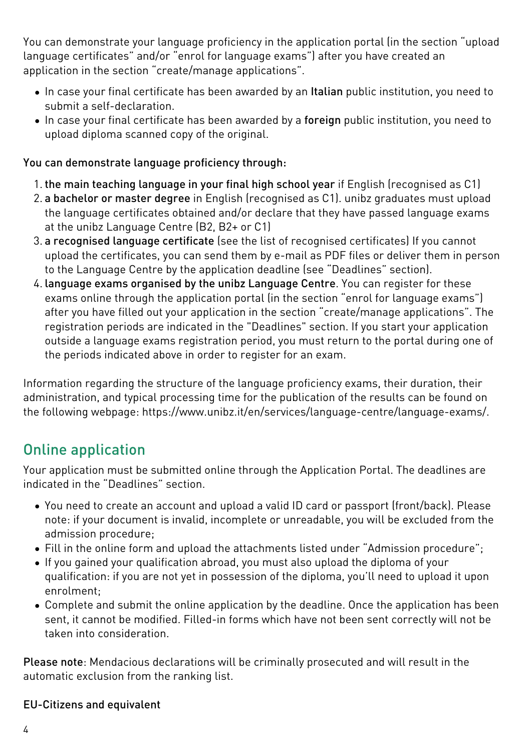You can demonstrate your language proficiency in the application portal (in the section "upload language certificates" and/or "enrol for language exams") after you have created an application in the section "create/manage applications".

- In case your final certificate has been awarded by an Italian public institution, you need to submit a self-declaration.
- In case your final certificate has been awarded by a foreign public institution, you need to upload diploma scanned copy of the original.

### You can demonstrate language proficiency through:

- 1. the main teaching language in your final high school year if English (recognised as C1)
- 2. a bachelor or master degree in English (recognised as C1). unibz graduates must upload the language certificates obtained and/or declare that they have passed language exams at the unibz Language Centre (B2, B2+ or C1)
- 3. a recognised language certificate (see the list of [recognised certificates\)](https://www.unibz.it/en/services/language-centre/study-in-three-languages/) If you cannot upload the certificates, you can send them by e-mail as PDF files or deliver them in person to the Language Centre by the application deadline (see "Deadlines" section).
- 4. language exams organised by the unibz Language Centre. You can register for these exams online through the application portal (in the section "enrol for language exams") after you have filled out your application in the section "create/manage applications". The registration periods are indicated in the "Deadlines" section. If you start your application outside a language exams registration period, you must return to the portal during one of the periods indicated above in order to register for an exam.

Information regarding the structure of the language proficiency exams, their duration, their administration, and typical processing time for the publication of the results can be found on the following webpage: [https://www.unibz.it/en/services/language-centre/language-exams/](https://www.unibz.it/it/services/language-centre/language-exams/).

# Online application

Your application must be submitted online through the [Application Portal](https://aws.unibz.it/exup). The deadlines are indicated in the "Deadlines" section.

- You need to create an account and upload a valid ID card or passport (front/back). Please note: if your document is invalid, incomplete or unreadable, you will be excluded from the admission procedure;
- Fill in the online form and upload the attachments listed under "Admission procedure";
- If you gained your qualification abroad, you must also upload the diploma of your qualification: if you are not yet in possession of the diploma, you'll need to upload it upon enrolment;
- Complete and submit the online application by the deadline. Once the application has been sent, it cannot be modified. Filled-in forms which have not been sent correctly will not be taken into consideration.

Please note: Mendacious declarations will be criminally prosecuted and will result in the automatic exclusion from the ranking list.

### EU-Citizens and equivalent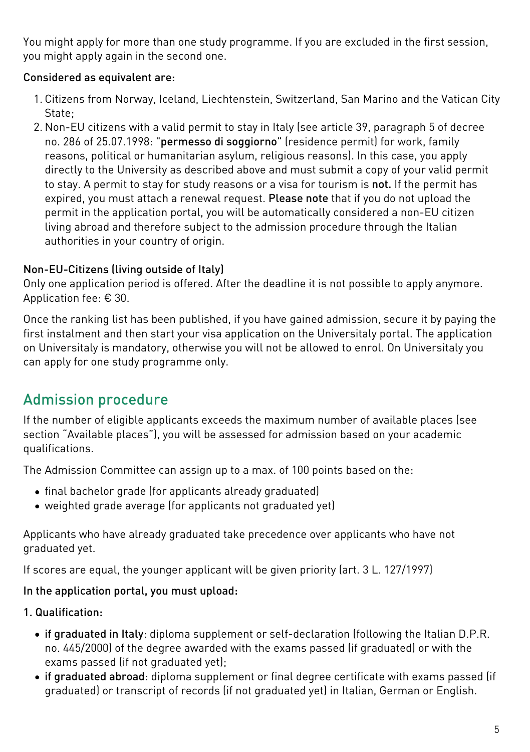You might apply for more than one study programme. If you are excluded in the first session, you might apply again in the second one.

### Considered as equivalent are:

- 1. Citizens from Norway, Iceland, Liechtenstein, Switzerland, San Marino and the Vatican City State;
- 2. Non-EU citizens with a valid permit to stay in Italy (see article 39, paragraph 5 of decree no. 286 of 25.07.1998: "permesso di soggiorno" (residence permit) for work, family reasons, political or humanitarian asylum, religious reasons). In this case, you apply directly to the University as described above and must submit a copy of your valid permit to stay. A permit to stay for study reasons or a visa for tourism is not. If the permit has expired, you must attach a renewal request. Please note that if you do not upload the permit in the application portal, you will be automatically considered a non-EU citizen living abroad and therefore subject to the admission procedure through the Italian authorities in your country of origin.

### Non-EU-Citizens (living outside of Italy)

Only one application period is offered. After the deadline it is not possible to apply anymore. Application fee: € 30.

Once the ranking list has been published, if you have gained admission, secure it by paying the first instalment and then start your visa application on the [Universitaly portal.](https://www.universitaly.it/index.php/) The application on Universitaly is mandatory, otherwise you will not be allowed to enrol. On Universitaly you can apply for one study programme only.

# Admission procedure

If the number of eligible applicants exceeds the maximum number of available places (see section "Available places"), you will be assessed for admission based on your academic qualifications.

The Admission Committee can assign up to a max. of 100 points based on the:

- final bachelor grade (for applicants already graduated)
- weighted grade average (for applicants not graduated yet)

Applicants who have already graduated take precedence over applicants who have not graduated yet.

If scores are equal, the younger applicant will be given priority (art. 3 L. 127/1997)

### In the application portal, you must upload:

### 1. Qualification:

- if graduated in Italy: diploma supplement or self-declaration (following the Italian D.P.R. no. 445/2000) of the degree awarded with the exams passed (if graduated) or with the exams passed (if not graduated yet);
- if graduated abroad: diploma supplement or final degree certificate with exams passed (if graduated) or transcript of records (if not graduated yet) in Italian, German or English.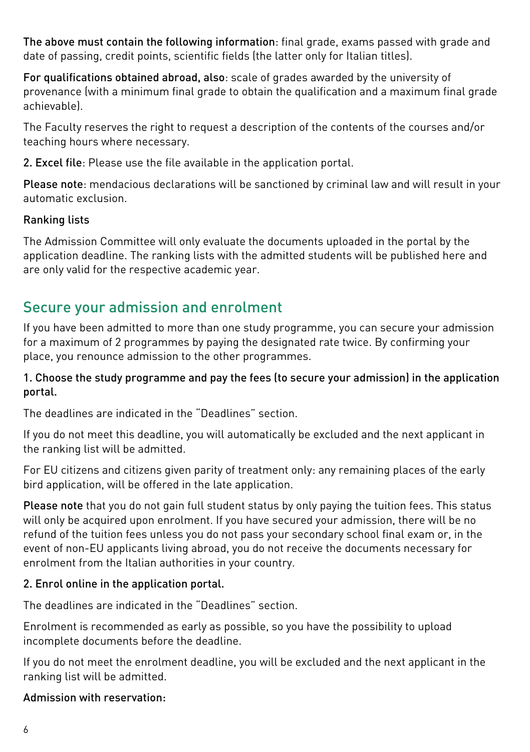The above must contain the following information: final grade, exams passed with grade and date of passing, credit points, scientific fields (the latter only for Italian titles).

For qualifications obtained abroad, also: scale of grades awarded by the university of provenance (with a minimum final grade to obtain the qualification and a maximum final grade achievable).

The Faculty reserves the right to request a description of the contents of the courses and/or teaching hours where necessary.

2. Excel file: Please use the file available in the application portal.

Please note: mendacious declarations will be sanctioned by criminal law and will result in your automatic exclusion.

### Ranking lists

The Admission Committee will only evaluate the documents uploaded in the portal by the application deadline. The ranking lists with the admitted students will be published [here](https://www.unibz.it/en/applicants/ranking-lists/?stage=Stage) and are only valid for the respective academic year.

### Secure your admission and enrolment

If you have been admitted to more than one study programme, you can secure your admission for a maximum of 2 programmes by paying the designated rate twice. By confirming your place, you renounce admission to the other programmes.

#### 1. Choose the study programme and pay the fees (to secure your admission) in the application portal.

The deadlines are indicated in the "Deadlines" section.

If you do not meet this deadline, you will automatically be excluded and the next applicant in the ranking list will be admitted.

For EU citizens and citizens given parity of treatment only: any remaining places of the early bird application, will be offered in the late application.

Please note that you do not gain full student status by only paying the tuition fees. This status will only be acquired upon enrolment. If you have secured your admission, there will be no refund of the tuition fees unless you do not pass your secondary school final exam or, in the event of non-EU applicants living abroad, you do not receive the documents necessary for enrolment from the Italian authorities in your country.

### 2. Enrol online in the application portal.

The deadlines are indicated in the "Deadlines" section.

Enrolment is recommended as early as possible, so you have the possibility to upload incomplete documents before the deadline.

If you do not meet the enrolment deadline, you will be excluded and the next applicant in the ranking list will be admitted.

#### Admission with reservation: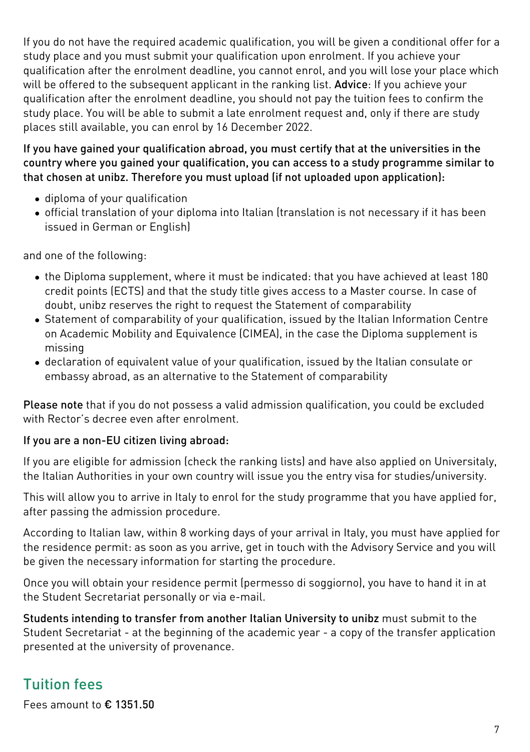If you do not have the required academic qualification, you will be given a conditional offer for a study place and you must submit your qualification upon enrolment. If you achieve your qualification after the enrolment deadline, you cannot enrol, and you will lose your place which will be offered to the subsequent applicant in the ranking list. Advice: If you achieve your qualification after the enrolment deadline, you should not pay the tuition fees to confirm the study place. You will be able to submit a late enrolment request and, only if there are study places still available, you can enrol by 16 December 2022.

#### If you have gained your qualification abroad, you must certify that at the universities in the country where you gained your qualification, you can access to a study programme similar to that chosen at unibz. Therefore you must upload (if not uploaded upon application):

- diploma of your qualification
- official translation of your diploma into Italian (translation is not necessary if it has been issued in German or English)

and one of the following:

- the Diploma supplement, where it must be indicated: that you have achieved at least 180 credit points (ECTS) and that the study title gives access to a Master course. In case of doubt, unibz reserves the right to request the Statement of comparability
- [Statement of comparability](https://www.cimea.it/EN/pagina-attestati-di-comparabilita-e-verifica-dei-titoli) of your qualification, issued by the Italian Information Centre on Academic Mobility and Equivalence (CIMEA), in the case the Diploma supplement is missing
- declaration of equivalent value of your qualification, issued by the Italian consulate or embassy abroad, as an alternative to the Statement of comparability

Please note that if you do not possess a valid admission qualification, you could be excluded with Rector's decree even after enrolment

#### If you are a non-EU citizen living abroad:

If you are eligible for admission (check the ranking lists) and have also applied on [Universitaly](https://www.universitaly.it/index.php/), the Italian Authorities in your own country will issue you the entry visa for studies/university.

This will allow you to arrive in Italy to enrol for the study programme that you have applied for, after passing the admission procedure.

According to Italian law, within 8 working days of your arrival in Italy, you must have applied for the residence permit: as soon as you arrive, get in touch with the Advisory Service and you will be given the necessary information for starting the procedure.

Once you will obtain your residence permit (permesso di soggiorno), you have to hand it in at the Student Secretariat personally or via e-mail.

Students intending to transfer from another Italian University to unibz must submit to the Student Secretariat - at the beginning of the academic year - a copy of the transfer application presented at the university of provenance.

# Tuition fees

Fees amount to € 1351.50